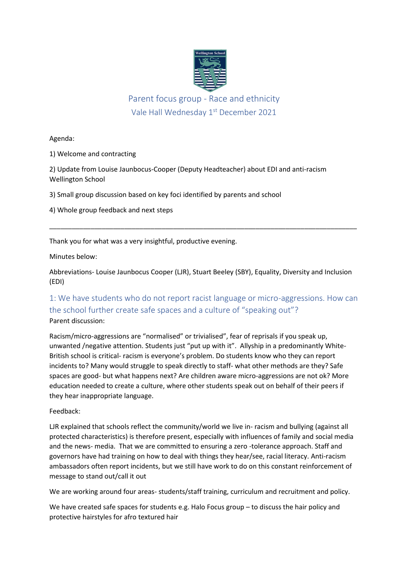

# Parent focus group - Race and ethnicity Vale Hall Wednesday 1<sup>st</sup> December 2021

Agenda:

1) Welcome and contracting

2) Update from Louise Jaunbocus-Cooper (Deputy Headteacher) about EDI and anti-racism Wellington School

3) Small group discussion based on key foci identified by parents and school

4) Whole group feedback and next steps

Thank you for what was a very insightful, productive evening.

Minutes below:

Abbreviations- Louise Jaunbocus Cooper (LJR), Stuart Beeley (SBY), Equality, Diversity and Inclusion (EDI)

\_\_\_\_\_\_\_\_\_\_\_\_\_\_\_\_\_\_\_\_\_\_\_\_\_\_\_\_\_\_\_\_\_\_\_\_\_\_\_\_\_\_\_\_\_\_\_\_\_\_\_\_\_\_\_\_\_\_\_\_\_\_\_\_\_\_\_\_\_\_\_\_\_\_\_\_\_\_\_\_\_\_

## 1: We have students who do not report racist language or micro-aggressions. How can the school further create safe spaces and a culture of "speaking out"? Parent discussion:

Racism/micro-aggressions are "normalised" or trivialised", fear of reprisals if you speak up, unwanted /negative attention. Students just "put up with it". Allyship in a predominantly White-British school is critical- racism is everyone's problem. Do students know who they can report incidents to? Many would struggle to speak directly to staff- what other methods are they? Safe spaces are good- but what happens next? Are children aware micro-aggressions are not ok? More education needed to create a culture, where other students speak out on behalf of their peers if they hear inappropriate language.

#### Feedback:

LJR explained that schools reflect the community/world we live in- racism and bullying (against all protected characteristics) is therefore present, especially with influences of family and social media and the news- media. That we are committed to ensuring a zero -tolerance approach. Staff and governors have had training on how to deal with things they hear/see, racial literacy. Anti-racism ambassadors often report incidents, but we still have work to do on this constant reinforcement of message to stand out/call it out

We are working around four areas- students/staff training, curriculum and recruitment and policy.

We have created safe spaces for students e.g. Halo Focus group – to discuss the hair policy and protective hairstyles for afro textured hair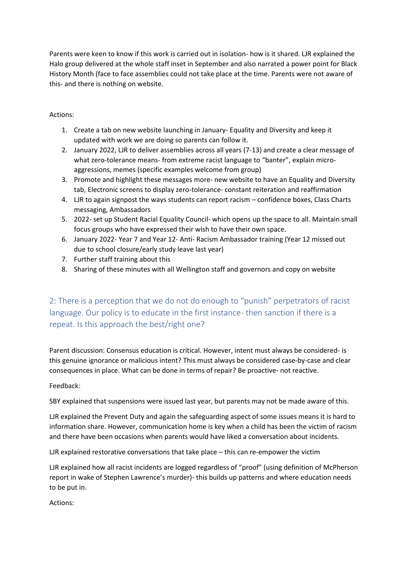Parents were keen to know if this work is carried out in isolation- how is it shared. LJR explained the Halo group delivered at the whole staff inset in September and also narrated a power point for Black History Month (face to face assemblies could not take place at the time. Parents were not aware of this- and there is nothing on website.

#### Actions:

- 1. Create a tab on new website launching in January- Equality and Diversity and keep it updated with work we are doing so parents can follow it.
- 2. January 2022, LJR to deliver assemblies across all years (7-13) and create a clear message of what zero-tolerance means- from extreme racist language to "banter", explain microaggressions, memes (specific examples welcome from group)
- 3. Promote and highlight these messages more- new website to have an Equality and Diversity tab, Electronic screens to display zero-tolerance- constant reiteration and reaffirmation
- 4. LJR to again signpost the ways students can report racism confidence boxes, Class Charts messaging, Ambassadors
- 5. 2022- set up Student Racial Equality Council- which opens up the space to all. Maintain small focus groups who have expressed their wish to have their own space.
- 6. January 2022- Year 7 and Year 12- Anti- Racism Ambassador training (Year 12 missed out due to school closure/early study leave last year)
- 7. Further staff training about this
- 8. Sharing of these minutes with all Wellington staff and governors and copy on website

2: There is a perception that we do not do enough to "punish" perpetrators of racist language. Our policy is to educate in the first instance- then sanction if there is a repeat. Is this approach the best/right one?

Parent discussion: Consensus education is critical. However, intent must always be considered- is this genuine ignorance or malicious intent? This must always be considered case-by-case and clear consequences in place. What can be done in terms of repair? Be proactive- not reactive.

#### Feedback:

SBY explained that suspensions were issued last year, but parents may not be made aware of this.

LJR explained the Prevent Duty and again the safeguarding aspect of some issues means it is hard to information share. However, communication home is key when a child has been the victim of racism and there have been occasions when parents would have liked a conversation about incidents.

LJR explained restorative conversations that take place – this can re-empower the victim

LJR explained how all racist incidents are logged regardless of "proof" (using definition of McPherson report in wake of Stephen Lawrence's murder)- this builds up patterns and where education needs to be put in.

Actions: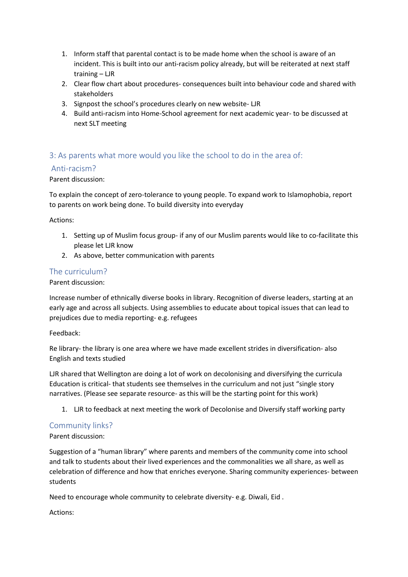- 1. Inform staff that parental contact is to be made home when the school is aware of an incident. This is built into our anti-racism policy already, but will be reiterated at next staff training – LJR
- 2. Clear flow chart about procedures- consequences built into behaviour code and shared with stakeholders
- 3. Signpost the school's procedures clearly on new website- LJR
- 4. Build anti-racism into Home-School agreement for next academic year- to be discussed at next SLT meeting

### 3: As parents what more would you like the school to do in the area of:

#### Anti-racism?

#### Parent discussion:

To explain the concept of zero-tolerance to young people. To expand work to Islamophobia, report to parents on work being done. To build diversity into everyday

Actions:

- 1. Setting up of Muslim focus group- if any of our Muslim parents would like to co-facilitate this please let LJR know
- 2. As above, better communication with parents

#### The curriculum?

Parent discussion:

Increase number of ethnically diverse books in library. Recognition of diverse leaders, starting at an early age and across all subjects. Using assemblies to educate about topical issues that can lead to prejudices due to media reporting- e.g. refugees

Feedback:

Re library- the library is one area where we have made excellent strides in diversification- also English and texts studied

LJR shared that Wellington are doing a lot of work on decolonising and diversifying the curricula Education is critical- that students see themselves in the curriculum and not just "single story narratives. (Please see separate resource- as this will be the starting point for this work)

1. LJR to feedback at next meeting the work of Decolonise and Diversify staff working party

#### Community links?

Parent discussion:

Suggestion of a "human library" where parents and members of the community come into school and talk to students about their lived experiences and the commonalities we all share, as well as celebration of difference and how that enriches everyone. Sharing community experiences- between students

Need to encourage whole community to celebrate diversity- e.g. Diwali, Eid .

Actions: